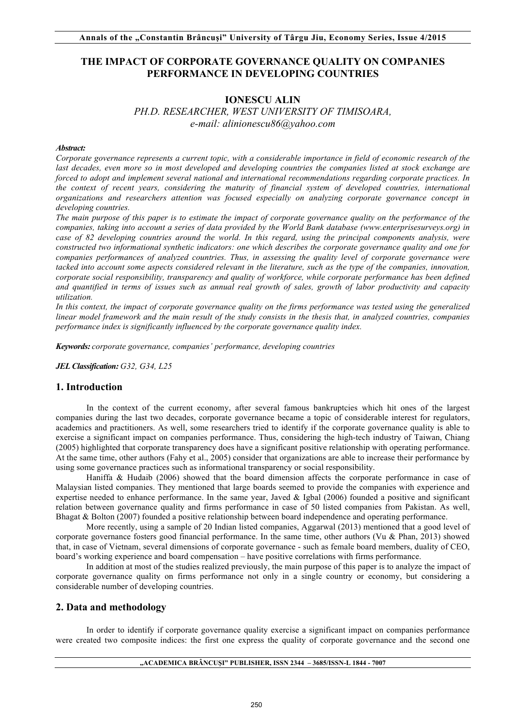# **THE IMPACT OF CORPORATE GOVERNANCE QUALITY ON COMPANIES PERFORMANCE IN DEVELOPING COUNTRIES**

## **IONESCU ALIN**  *PH.D. RESEARCHER, WEST UNIVERSITY OF TIMISOARA, e-mail: alinionescu86@yahoo.com*

#### *Abstract:*

*Corporate governance represents a current topic, with a considerable importance in field of economic research of the*  last decades, even more so in most developed and developing countries the companies listed at stock exchange are *forced to adopt and implement several national and international recommendations regarding corporate practices. In the context of recent years, considering the maturity of financial system of developed countries, international organizations and researchers attention was focused especially on analyzing corporate governance concept in developing countries.*

*The main purpose of this paper is to estimate the impact of corporate governance quality on the performance of the companies, taking into account a series of data provided by the World Bank database (www.enterprisesurveys.org) in case of 82 developing countries around the world. In this regard, using the principal components analysis, were constructed two informational synthetic indicators: one which describes the corporate governance quality and one for companies performances of analyzed countries. Thus, in assessing the quality level of corporate governance were*  tacked into account some aspects considered relevant in the literature, such as the type of the companies, innovation, *corporate social responsibility, transparency and quality of workforce, while corporate performance has been defined and quantified in terms of issues such as annual real growth of sales, growth of labor productivity and capacity utilization.*

In this context, the impact of corporate governance quality on the firms performance was tested using the generalized *linear model framework and the main result of the study consists in the thesis that, in analyzed countries, companies performance index is significantly influenced by the corporate governance quality index.*

*Keywords: corporate governance, companies' performance, developing countries* 

*JEL Classification: G32, G34, L25*

### **1. Introduction**

In the context of the current economy, after several famous bankruptcies which hit ones of the largest companies during the last two decades, corporate governance became a topic of considerable interest for regulators, academics and practitioners. As well, some researchers tried to identify if the corporate governance quality is able to exercise a significant impact on companies performance. Thus, considering the high-tech industry of Taiwan, Chiang (2005) highlighted that corporate transparency does have a significant positive relationship with operating performance. At the same time, other authors (Fahy et al., 2005) consider that organizations are able to increase their performance by using some governance practices such as informational transparency or social responsibility.

Haniffa & Hudaib (2006) showed that the board dimension affects the corporate performance in case of Malaysian listed companies. They mentioned that large boards seemed to provide the companies with experience and expertise needed to enhance performance. In the same year, Javed & Igbal (2006) founded a positive and significant relation between governance quality and firms performance in case of 50 listed companies from Pakistan. As well, Bhagat & Bolton (2007) founded a positive relationship between board independence and operating performance.

More recently, using a sample of 20 Indian listed companies, Aggarwal (2013) mentioned that a good level of corporate governance fosters good financial performance. In the same time, other authors (Vu & Phan, 2013) showed that, in case of Vietnam, several dimensions of corporate governance - such as female board members, duality of CEO, board's working experience and board compensation – have positive correlations with firms performance.

In addition at most of the studies realized previously, the main purpose of this paper is to analyze the impact of corporate governance quality on firms performance not only in a single country or economy, but considering a considerable number of developing countries.

## **2. Data and methodology**

In order to identify if corporate governance quality exercise a significant impact on companies performance were created two composite indices: the first one express the quality of corporate governance and the second one

#### **"ACADEMICA BRÂNCUŞI" PUBLISHER, ISSN 2344 – 3685/ISSN-L 1844 - 7007**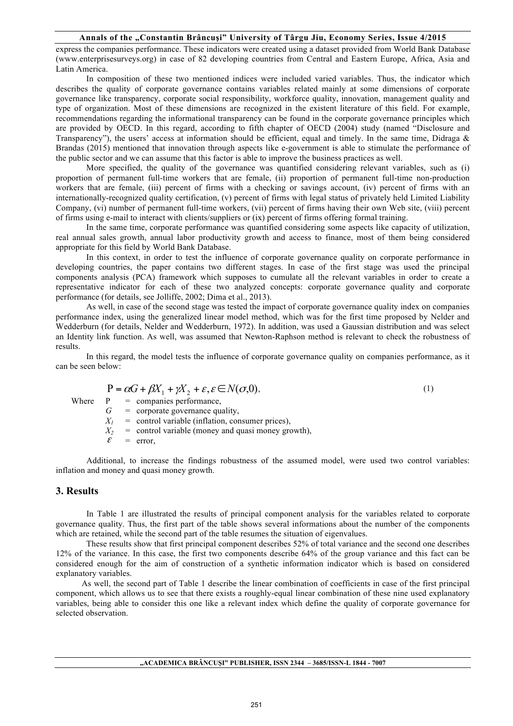#### **Annals of the "Constantin Brâncuşi" University of Târgu Jiu, Economy Series, Issue 4/2015**

express the companies performance. These indicators were created using a dataset provided from World Bank Database (www.enterprisesurveys.org) in case of 82 developing countries from Central and Eastern Europe, Africa, Asia and Latin America.

In composition of these two mentioned indices were included varied variables. Thus, the indicator which describes the quality of corporate governance contains variables related mainly at some dimensions of corporate governance like transparency, corporate social responsibility, workforce quality, innovation, management quality and type of organization. Most of these dimensions are recognized in the existent literature of this field. For example, recommendations regarding the informational transparency can be found in the corporate governance principles which are provided by OECD. In this regard, according to fifth chapter of OECD (2004) study (named "Disclosure and Transparency"), the users' access at information should be efficient, equal and timely. In the same time, Didraga  $\&$ Brandas (2015) mentioned that innovation through aspects like e-government is able to stimulate the performance of the public sector and we can assume that this factor is able to improve the business practices as well.

More specified, the quality of the governance was quantified considering relevant variables, such as (i) proportion of permanent full-time workers that are female, (ii) proportion of permanent full-time non-production workers that are female, (iii) percent of firms with a checking or savings account, (iv) percent of firms with an internationally-recognized quality certification, (v) percent of firms with legal status of privately held Limited Liability Company, (vi) number of permanent full-time workers, (vii) percent of firms having their own Web site, (viii) percent of firms using e-mail to interact with clients/suppliers or (ix) percent of firms offering formal training.

In the same time, corporate performance was quantified considering some aspects like capacity of utilization, real annual sales growth, annual labor productivity growth and access to finance, most of them being considered appropriate for this field by World Bank Database.

In this context, in order to test the influence of corporate governance quality on corporate performance in developing countries, the paper contains two different stages. In case of the first stage was used the principal components analysis (PCA) framework which supposes to cumulate all the relevant variables in order to create a representative indicator for each of these two analyzed concepts: corporate governance quality and corporate performance (for details, see Jolliffe, 2002; Dima et al., 2013).

As well, in case of the second stage was tested the impact of corporate governance quality index on companies performance index, using the generalized linear model method, which was for the first time proposed by Nelder and Wedderburn (for details, Nelder and Wedderburn, 1972). In addition, was used a Gaussian distribution and was select an Identity link function. As well, was assumed that Newton-Raphson method is relevant to check the robustness of results.

In this regard, the model tests the influence of corporate governance quality on companies performance, as it can be seen below:

$$
P = \alpha G + \beta X_1 + \gamma X_2 + \varepsilon, \varepsilon \in N(\sigma, 0),
$$
\n(1)

Where  $P =$  companies performance,

*G* = corporate governance quality,

 $X_1$  = control variable (inflation, consumer prices),

 $X_2$  = control variable (money and quasi money growth),<br> $E = \text{error}$ 

 $=$  error.

Additional, to increase the findings robustness of the assumed model, were used two control variables: inflation and money and quasi money growth.

#### **3. Results**

In Table 1 are illustrated the results of principal component analysis for the variables related to corporate governance quality. Thus, the first part of the table shows several informations about the number of the components which are retained, while the second part of the table resumes the situation of eigenvalues.

These results show that first principal component describes 52% of total variance and the second one describes 12% of the variance. In this case, the first two components describe 64% of the group variance and this fact can be considered enough for the aim of construction of a synthetic information indicator which is based on considered explanatory variables.

As well, the second part of Table 1 describe the linear combination of coefficients in case of the first principal component, which allows us to see that there exists a roughly-equal linear combination of these nine used explanatory variables, being able to consider this one like a relevant index which define the quality of corporate governance for selected observation.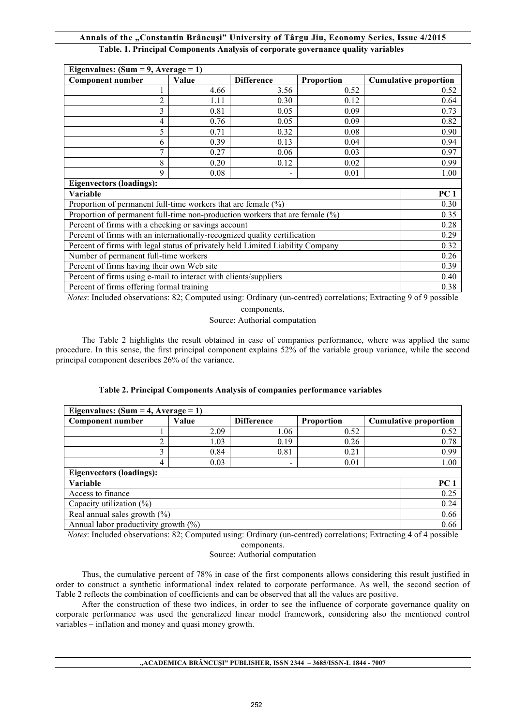### **Annals of the "Constantin Brâncuşi" University of Târgu Jiu, Economy Series, Issue 4/2015 Table. 1. Principal Components Analysis of corporate governance quality variables**

| Eigenvalues: $(Sum = 9, Average = 1)$                                           |       |                   |                   |                              |  |  |  |
|---------------------------------------------------------------------------------|-------|-------------------|-------------------|------------------------------|--|--|--|
| <b>Component number</b>                                                         | Value | <b>Difference</b> | <b>Proportion</b> | <b>Cumulative proportion</b> |  |  |  |
|                                                                                 | 4.66  | 3.56              | 0.52              | 0.52                         |  |  |  |
| $\overline{c}$                                                                  | 1.11  | 0.30              | 0.12              | 0.64                         |  |  |  |
| 3                                                                               | 0.81  | 0.05              | 0.09              | 0.73                         |  |  |  |
| 4                                                                               | 0.76  | 0.05              | 0.09              | 0.82                         |  |  |  |
| 5                                                                               | 0.71  | 0.32              | 0.08              | 0.90                         |  |  |  |
| 6                                                                               | 0.39  | 0.13              | 0.04              | 0.94                         |  |  |  |
| 7                                                                               | 0.27  | 0.06              | 0.03              | 0.97                         |  |  |  |
| 8                                                                               | 0.20  | 0.12              | 0.02              | 0.99                         |  |  |  |
| 9                                                                               | 0.08  |                   | 0.01              | 1.00                         |  |  |  |
| <b>Eigenvectors (loadings):</b>                                                 |       |                   |                   |                              |  |  |  |
| Variable<br>PC <sub>1</sub>                                                     |       |                   |                   |                              |  |  |  |
| Proportion of permanent full-time workers that are female $(\%)$                |       |                   |                   |                              |  |  |  |
| Proportion of permanent full-time non-production workers that are female $(\%)$ |       |                   |                   |                              |  |  |  |
| Percent of firms with a checking or savings account                             |       |                   |                   |                              |  |  |  |
| Percent of firms with an internationally-recognized quality certification       |       |                   |                   |                              |  |  |  |
| Percent of firms with legal status of privately held Limited Liability Company  |       |                   |                   |                              |  |  |  |
| Number of permanent full-time workers                                           |       |                   |                   |                              |  |  |  |
| Percent of firms having their own Web site                                      |       |                   |                   |                              |  |  |  |
| Percent of firms using e-mail to interact with clients/suppliers                |       |                   |                   |                              |  |  |  |
| Percent of firms offering formal training                                       |       |                   |                   |                              |  |  |  |

*Notes*: Included observations: 82; Computed using: Ordinary (un-centred) correlations; Extracting 9 of 9 possible

components.

Source: Authorial computation

The Table 2 highlights the result obtained in case of companies performance, where was applied the same procedure. In this sense, the first principal component explains 52% of the variable group variance, while the second principal component describes 26% of the variance.

| Eigenvalues: $(Sum = 4, Average = 1)$           |       |                          |            |                              |      |  |  |
|-------------------------------------------------|-------|--------------------------|------------|------------------------------|------|--|--|
| <b>Component number</b>                         | Value | <b>Difference</b>        | Proportion | <b>Cumulative proportion</b> |      |  |  |
|                                                 | 2.09  | 1.06                     | 0.52       |                              | 0.52 |  |  |
| 2                                               | 1.03  | 0.19                     | 0.26       |                              | 0.78 |  |  |
| 3                                               | 0.84  | 0.81                     | 0.21       |                              | 0.99 |  |  |
| 4                                               | 0.03  | $\overline{\phantom{0}}$ | 0.01       | 1.00                         |      |  |  |
| <b>Eigenvectors (loadings):</b>                 |       |                          |            |                              |      |  |  |
| Variable<br>PC <sub>1</sub>                     |       |                          |            |                              |      |  |  |
| 0.25<br>Access to finance                       |       |                          |            |                              |      |  |  |
| 0.24<br>Capacity utilization $(\%)$             |       |                          |            |                              |      |  |  |
| Real annual sales growth $(\%)$<br>0.66         |       |                          |            |                              |      |  |  |
| Annual labor productivity growth $(\%)$<br>0.66 |       |                          |            |                              |      |  |  |

## **Table 2. Principal Components Analysis of companies performance variables**

*Notes*: Included observations: 82; Computed using: Ordinary (un-centred) correlations; Extracting 4 of 4 possible components.

Source: Authorial computation

Thus, the cumulative percent of 78% in case of the first components allows considering this result justified in order to construct a synthetic informational index related to corporate performance. As well, the second section of Table 2 reflects the combination of coefficients and can be observed that all the values are positive.

After the construction of these two indices, in order to see the influence of corporate governance quality on corporate performance was used the generalized linear model framework, considering also the mentioned control variables – inflation and money and quasi money growth.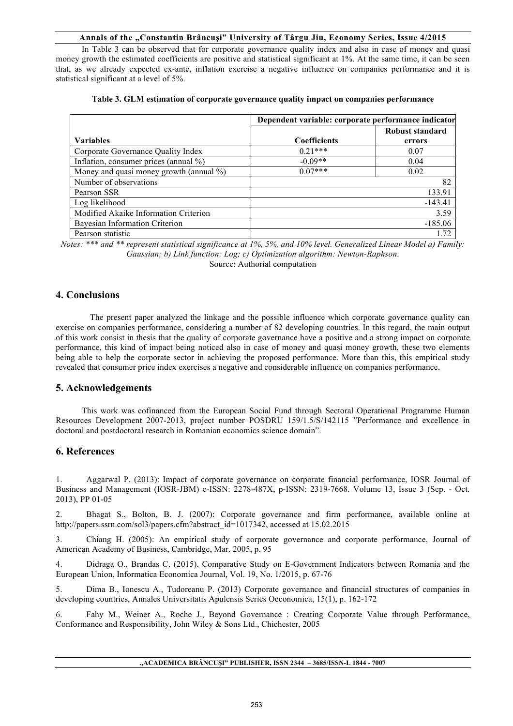#### **Annals of the "Constantin Brâncuşi" University of Târgu Jiu, Economy Series, Issue 4/2015**

In Table 3 can be observed that for corporate governance quality index and also in case of money and quasi money growth the estimated coefficients are positive and statistical significant at 1%. At the same time, it can be seen that, as we already expected ex-ante, inflation exercise a negative influence on companies performance and it is statistical significant at a level of 5%.

|                                         | Dependent variable: corporate performance indicator |                 |  |  |  |
|-----------------------------------------|-----------------------------------------------------|-----------------|--|--|--|
|                                         |                                                     | Robust standard |  |  |  |
| <b>Variables</b>                        | <b>Coefficients</b>                                 | errors          |  |  |  |
| Corporate Governance Quality Index      | $0.21***$                                           | 0.07            |  |  |  |
| Inflation, consumer prices (annual %)   | $-0.09**$                                           | 0.04            |  |  |  |
| Money and quasi money growth (annual %) | $0.07***$                                           | 0.02            |  |  |  |
| Number of observations                  |                                                     | 82              |  |  |  |
| Pearson SSR                             |                                                     | 133.91          |  |  |  |
| Log likelihood                          |                                                     | $-143.41$       |  |  |  |
| Modified Akaike Information Criterion   |                                                     | 3.59            |  |  |  |
| Bayesian Information Criterion          |                                                     | $-185.06$       |  |  |  |
| Pearson statistic                       |                                                     | 1.72            |  |  |  |

|  |  |  |  |  | Table 3. GLM estimation of corporate governance quality impact on companies performance |
|--|--|--|--|--|-----------------------------------------------------------------------------------------|
|  |  |  |  |  |                                                                                         |

*Notes: \*\*\* and \*\* represent statistical significance at 1%, 5%, and 10% level. Generalized Linear Model a) Family: Gaussian; b) Link function: Log; c) Optimization algorithm: Newton-Raphson*.

Source: Authorial computation

### **4. Conclusions**

The present paper analyzed the linkage and the possible influence which corporate governance quality can exercise on companies performance, considering a number of 82 developing countries. In this regard, the main output of this work consist in thesis that the quality of corporate governance have a positive and a strong impact on corporate performance, this kind of impact being noticed also in case of money and quasi money growth, these two elements being able to help the corporate sector in achieving the proposed performance. More than this, this empirical study revealed that consumer price index exercises a negative and considerable influence on companies performance.

### **5. Acknowledgements**

This work was cofinanced from the European Social Fund through Sectoral Operational Programme Human Resources Development 2007-2013, project number POSDRU 159/1.5/S/142115 "Performance and excellence in doctoral and postdoctoral research in Romanian economics science domain".

### **6. References**

1. Aggarwal P. (2013): Impact of corporate governance on corporate financial performance, IOSR Journal of Business and Management (IOSR-JBM) e-ISSN: 2278-487X, p-ISSN: 2319-7668. Volume 13, Issue 3 (Sep. - Oct. 2013), PP 01-05

2. Bhagat S., Bolton, B. J. (2007): Corporate governance and firm performance, available online at http://papers.ssrn.com/sol3/papers.cfm?abstract\_id=1017342, accessed at 15.02.2015

3. Chiang H. (2005): An empirical study of corporate governance and corporate performance, Journal of American Academy of Business, Cambridge, Mar. 2005, p. 95

4. Didraga O., Brandas C. (2015). Comparative Study on E-Government Indicators between Romania and the European Union, Informatica Economica Journal, Vol. 19, No. 1/2015, p. 67-76

5. Dima B., Ionescu A., Tudoreanu P. (2013) Corporate governance and financial structures of companies in developing countries, Annales Universitatis Apulensis Series Oeconomica, 15(1), p. 162-172

6. Fahy M., Weiner A., Roche J., Beyond Governance : Creating Corporate Value through Performance, Conformance and Responsibility, John Wiley & Sons Ltd., Chichester, 2005